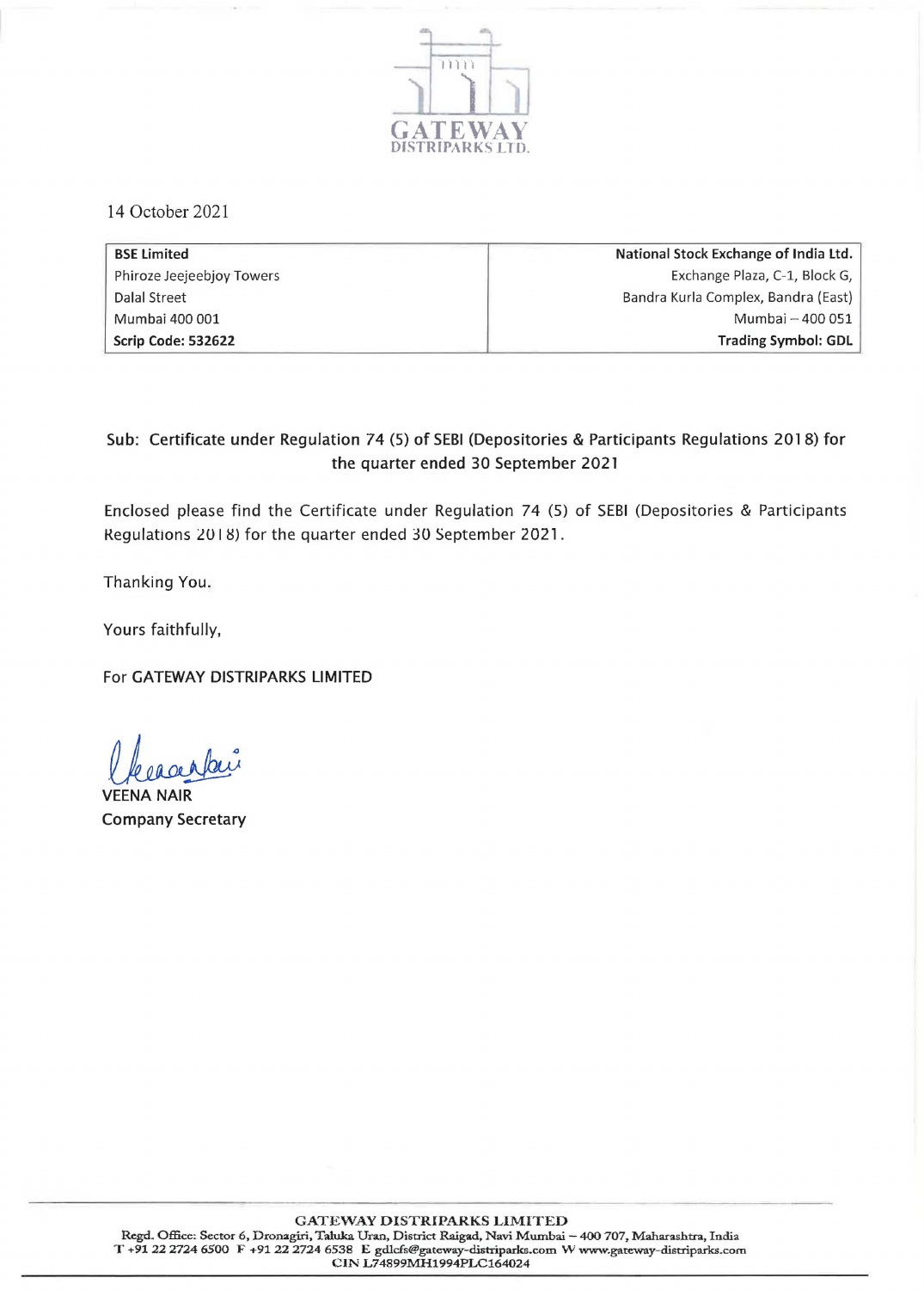

14 October 2021

| <b>BSE Limited</b>        | National Stock Exchange of India Ltd. |
|---------------------------|---------------------------------------|
| Phiroze Jeejeebjoy Towers | Exchange Plaza, C-1, Block G,         |
| Dalal Street              | Bandra Kurla Complex, Bandra (East)   |
| Mumbai 400 001            | Mumbai - 400 051                      |
| Scrip Code: 532622        | <b>Trading Symbol: GDL</b>            |

## Sub: Certificate under Regulation 74 (5) of SEBI (Depositories & Participants Regulations 2018) for the quarter ended 30 September 2021

Enclosed please find the Certificate under Regulation 74 (5) of SEBI (Depositories & Participants Regulations 2018) for the quarter ended 30 September 2021.

Thanking You.

Yours faithfully,

For GATEWAY DISTRIPARKS LIMITED

VEENA NAIR Company Secretary